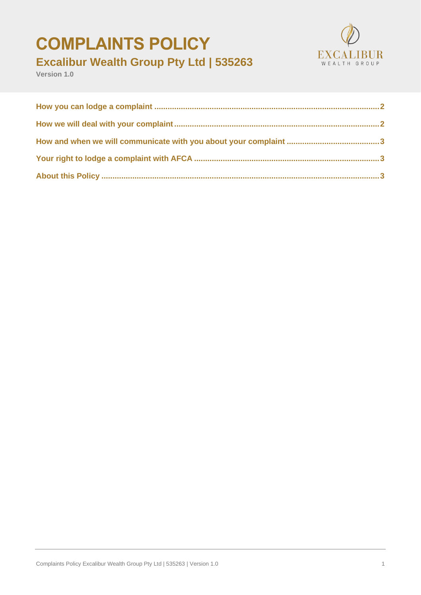# **COMPLAINTS POLICY**



# **Excalibur Wealth Group Pty Ltd | 535263**

**Version 1.0**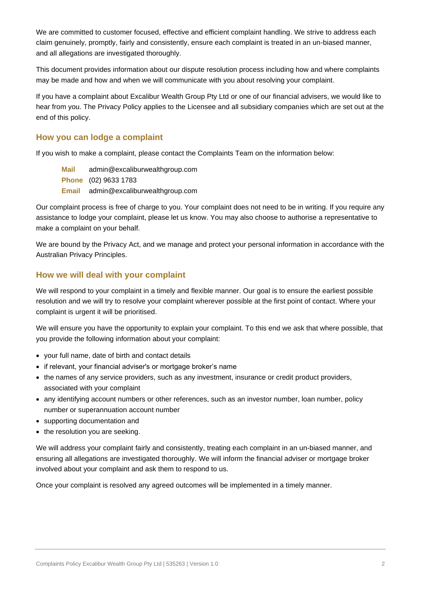We are committed to customer focused, effective and efficient complaint handling. We strive to address each claim genuinely, promptly, fairly and consistently, ensure each complaint is treated in an un-biased manner, and all allegations are investigated thoroughly.

This document provides information about our dispute resolution process including how and where complaints may be made and how and when we will communicate with you about resolving your complaint.

If you have a complaint about Excalibur Wealth Group Pty Ltd or one of our financial advisers, we would like to hear from you. The Privacy Policy applies to the Licensee and all subsidiary companies which are set out at the end of this policy.

### <span id="page-1-0"></span>**How you can lodge a complaint**

If you wish to make a complaint, please contact the Complaints Team on the information below:

**Mail** admin@excaliburwealthgroup.com **Phone** (02) 9633 1783 **Email** admin@excaliburwealthgroup.com

Our complaint process is free of charge to you. Your complaint does not need to be in writing. If you require any assistance to lodge your complaint, please let us know. You may also choose to authorise a representative to make a complaint on your behalf.

We are bound by the Privacy Act, and we manage and protect your personal information in accordance with the Australian Privacy Principles.

# <span id="page-1-1"></span>**How we will deal with your complaint**

We will respond to your complaint in a timely and flexible manner. Our goal is to ensure the earliest possible resolution and we will try to resolve your complaint wherever possible at the first point of contact. Where your complaint is urgent it will be prioritised.

We will ensure you have the opportunity to explain your complaint. To this end we ask that where possible, that you provide the following information about your complaint:

- your full name, date of birth and contact details
- if relevant, your financial adviser's or mortgage broker's name
- the names of any service providers, such as any investment, insurance or credit product providers, associated with your complaint
- any identifying account numbers or other references, such as an investor number, loan number, policy number or superannuation account number
- supporting documentation and
- the resolution you are seeking.

We will address your complaint fairly and consistently, treating each complaint in an un-biased manner, and ensuring all allegations are investigated thoroughly. We will inform the financial adviser or mortgage broker involved about your complaint and ask them to respond to us.

Once your complaint is resolved any agreed outcomes will be implemented in a timely manner.